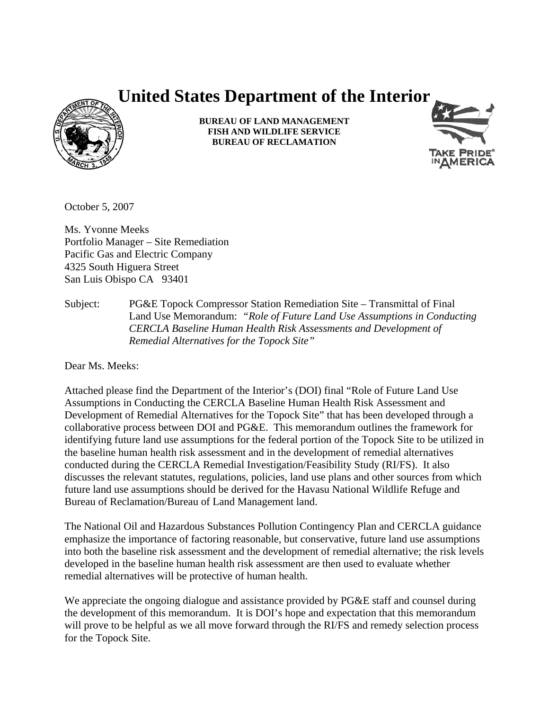# **United States Department of the Interior**



**BUREAU OF LAND MANAGEMENT FISH AND WILDLIFE SERVICE BUREAU OF RECLAMATION**



October 5, 2007

Ms. Yvonne Meeks Portfolio Manager – Site Remediation Pacific Gas and Electric Company 4325 South Higuera Street San Luis Obispo CA 93401

Subject: PG&E Topock Compressor Station Remediation Site – Transmittal of Final Land Use Memorandum: *"Role of Future Land Use Assumptions in Conducting CERCLA Baseline Human Health Risk Assessments and Development of Remedial Alternatives for the Topock Site"* 

Dear Ms. Meeks:

Attached please find the Department of the Interior's (DOI) final "Role of Future Land Use Assumptions in Conducting the CERCLA Baseline Human Health Risk Assessment and Development of Remedial Alternatives for the Topock Site" that has been developed through a collaborative process between DOI and PG&E. This memorandum outlines the framework for identifying future land use assumptions for the federal portion of the Topock Site to be utilized in the baseline human health risk assessment and in the development of remedial alternatives conducted during the CERCLA Remedial Investigation/Feasibility Study (RI/FS). It also discusses the relevant statutes, regulations, policies, land use plans and other sources from which future land use assumptions should be derived for the Havasu National Wildlife Refuge and Bureau of Reclamation/Bureau of Land Management land.

The National Oil and Hazardous Substances Pollution Contingency Plan and CERCLA guidance emphasize the importance of factoring reasonable, but conservative, future land use assumptions into both the baseline risk assessment and the development of remedial alternative; the risk levels developed in the baseline human health risk assessment are then used to evaluate whether remedial alternatives will be protective of human health.

We appreciate the ongoing dialogue and assistance provided by PG&E staff and counsel during the development of this memorandum. It is DOI's hope and expectation that this memorandum will prove to be helpful as we all move forward through the RI/FS and remedy selection process for the Topock Site.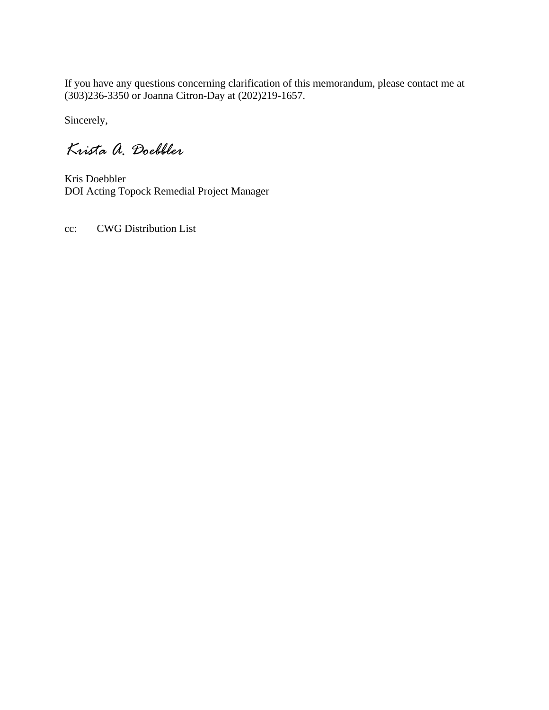If you have any questions concerning clarification of this memorandum, please contact me at (303)236-3350 or Joanna Citron-Day at (202)219-1657.

Sincerely,

*Krista A. Doebbler* 

Kris Doebbler DOI Acting Topock Remedial Project Manager

cc: CWG Distribution List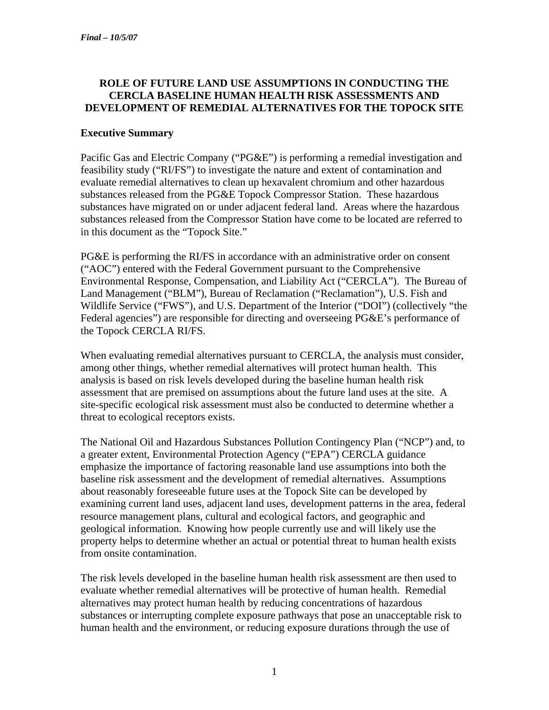#### **ROLE OF FUTURE LAND USE ASSUMPTIONS IN CONDUCTING THE CERCLA BASELINE HUMAN HEALTH RISK ASSESSMENTS AND DEVELOPMENT OF REMEDIAL ALTERNATIVES FOR THE TOPOCK SITE**

#### **Executive Summary**

Pacific Gas and Electric Company ("PG&E") is performing a remedial investigation and feasibility study ("RI/FS") to investigate the nature and extent of contamination and evaluate remedial alternatives to clean up hexavalent chromium and other hazardous substances released from the PG&E Topock Compressor Station. These hazardous substances have migrated on or under adjacent federal land. Areas where the hazardous substances released from the Compressor Station have come to be located are referred to in this document as the "Topock Site."

PG&E is performing the RI/FS in accordance with an administrative order on consent ("AOC") entered with the Federal Government pursuant to the Comprehensive Environmental Response, Compensation, and Liability Act ("CERCLA"). The Bureau of Land Management ("BLM"), Bureau of Reclamation ("Reclamation"), U.S. Fish and Wildlife Service ("FWS"), and U.S. Department of the Interior ("DOI") (collectively "the Federal agencies") are responsible for directing and overseeing PG&E's performance of the Topock CERCLA RI/FS.

When evaluating remedial alternatives pursuant to CERCLA, the analysis must consider, among other things, whether remedial alternatives will protect human health. This analysis is based on risk levels developed during the baseline human health risk assessment that are premised on assumptions about the future land uses at the site. A site-specific ecological risk assessment must also be conducted to determine whether a threat to ecological receptors exists.

The National Oil and Hazardous Substances Pollution Contingency Plan ("NCP") and, to a greater extent, Environmental Protection Agency ("EPA") CERCLA guidance emphasize the importance of factoring reasonable land use assumptions into both the baseline risk assessment and the development of remedial alternatives. Assumptions about reasonably foreseeable future uses at the Topock Site can be developed by examining current land uses, adjacent land uses, development patterns in the area, federal resource management plans, cultural and ecological factors, and geographic and geological information.Knowing how people currently use and will likely use the property helps to determine whether an actual or potential threat to human health exists from onsite contamination.

The risk levels developed in the baseline human health risk assessment are then used to evaluate whether remedial alternatives will be protective of human health. Remedial alternatives may protect human health by reducing concentrations of hazardous substances or interrupting complete exposure pathways that pose an unacceptable risk to human health and the environment, or reducing exposure durations through the use of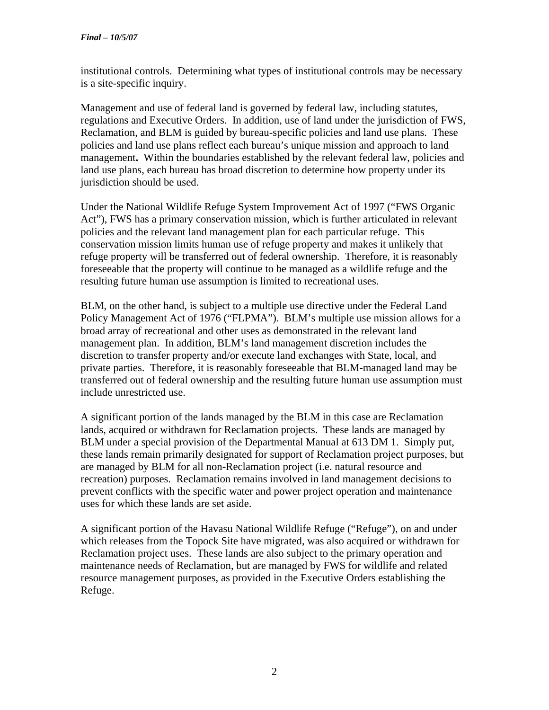institutional controls. Determining what types of institutional controls may be necessary is a site-specific inquiry.

Management and use of federal land is governed by federal law, including statutes, regulations and Executive Orders. In addition, use of land under the jurisdiction of FWS, Reclamation, and BLM is guided by bureau-specific policies and land use plans. These policies and land use plans reflect each bureau's unique mission and approach to land management**.** Within the boundaries established by the relevant federal law, policies and land use plans, each bureau has broad discretion to determine how property under its jurisdiction should be used.

Under the National Wildlife Refuge System Improvement Act of 1997 ("FWS Organic Act"), FWS has a primary conservation mission, which is further articulated in relevant policies and the relevant land management plan for each particular refuge. This conservation mission limits human use of refuge property and makes it unlikely that refuge property will be transferred out of federal ownership. Therefore, it is reasonably foreseeable that the property will continue to be managed as a wildlife refuge and the resulting future human use assumption is limited to recreational uses.

BLM, on the other hand, is subject to a multiple use directive under the Federal Land Policy Management Act of 1976 ("FLPMA"). BLM's multiple use mission allows for a broad array of recreational and other uses as demonstrated in the relevant land management plan. In addition, BLM's land management discretion includes the discretion to transfer property and/or execute land exchanges with State, local, and private parties. Therefore, it is reasonably foreseeable that BLM-managed land may be transferred out of federal ownership and the resulting future human use assumption must include unrestricted use.

A significant portion of the lands managed by the BLM in this case are Reclamation lands, acquired or withdrawn for Reclamation projects. These lands are managed by BLM under a special provision of the Departmental Manual at 613 DM 1. Simply put, these lands remain primarily designated for support of Reclamation project purposes, but are managed by BLM for all non-Reclamation project (i.e. natural resource and recreation) purposes. Reclamation remains involved in land management decisions to prevent conflicts with the specific water and power project operation and maintenance uses for which these lands are set aside.

A significant portion of the Havasu National Wildlife Refuge ("Refuge"), on and under which releases from the Topock Site have migrated, was also acquired or withdrawn for Reclamation project uses. These lands are also subject to the primary operation and maintenance needs of Reclamation, but are managed by FWS for wildlife and related resource management purposes, as provided in the Executive Orders establishing the Refuge.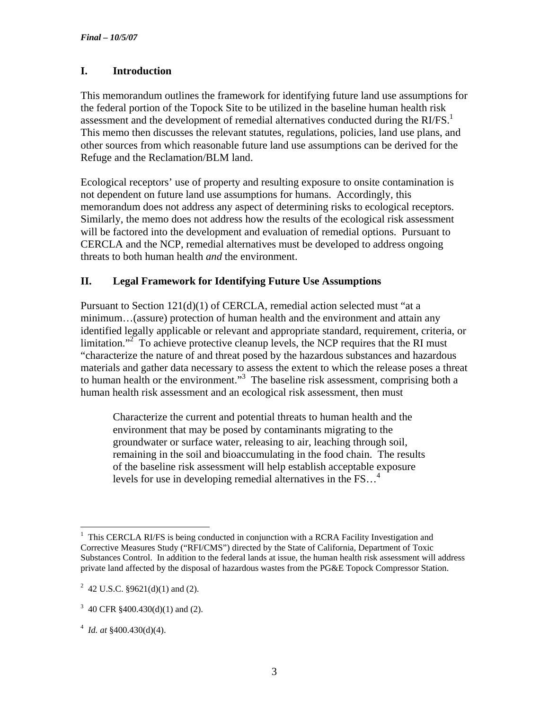# **I. Introduction**

This memorandum outlines the framework for identifying future land use assumptions for the federal portion of the Topock Site to be utilized in the baseline human health risk assessment and the development of remedial alternatives conducted during the  $RI/FS<sup>1</sup>$ This memo then discusses the relevant statutes, regulations, policies, land use plans, and other sources from which reasonable future land use assumptions can be derived for the Refuge and the Reclamation/BLM land.

Ecological receptors' use of property and resulting exposure to onsite contamination is not dependent on future land use assumptions for humans. Accordingly, this memorandum does not address any aspect of determining risks to ecological receptors. Similarly, the memo does not address how the results of the ecological risk assessment will be factored into the development and evaluation of remedial options. Pursuant to CERCLA and the NCP, remedial alternatives must be developed to address ongoing threats to both human health *and* the environment.

#### **II. Legal Framework for Identifying Future Use Assumptions**

Pursuant to Section 121(d)(1) of CERCLA, remedial action selected must "at a minimum…(assure) protection of human health and the environment and attain any identified legally applicable or relevant and appropriate standard, requirement, criteria, or limitation."<sup>2</sup> To achieve protective cleanup levels, the NCP requires that the RI must "characterize the nature of and threat posed by the hazardous substances and hazardous materials and gather data necessary to assess the extent to which the release poses a threat to human health or the environment."<sup>3</sup> The baseline risk assessment, comprising both a human health risk assessment and an ecological risk assessment, then must

Characterize the current and potential threats to human health and the environment that may be posed by contaminants migrating to the groundwater or surface water, releasing to air, leaching through soil, remaining in the soil and bioaccumulating in the food chain. The results of the baseline risk assessment will help establish acceptable exposure levels for use in developing remedial alternatives in the FS…4

 $\overline{a}$ 1 This CERCLA RI/FS is being conducted in conjunction with a RCRA Facility Investigation and Corrective Measures Study ("RFI/CMS") directed by the State of California, Department of Toxic Substances Control. In addition to the federal lands at issue, the human health risk assessment will address private land affected by the disposal of hazardous wastes from the PG&E Topock Compressor Station.

<sup>&</sup>lt;sup>2</sup> 42 U.S.C. §9621(d)(1) and (2).

<sup>&</sup>lt;sup>3</sup> 40 CFR  $\S$ 400.430(d)(1) and (2).

<sup>4</sup> *Id. at* §400.430(d)(4).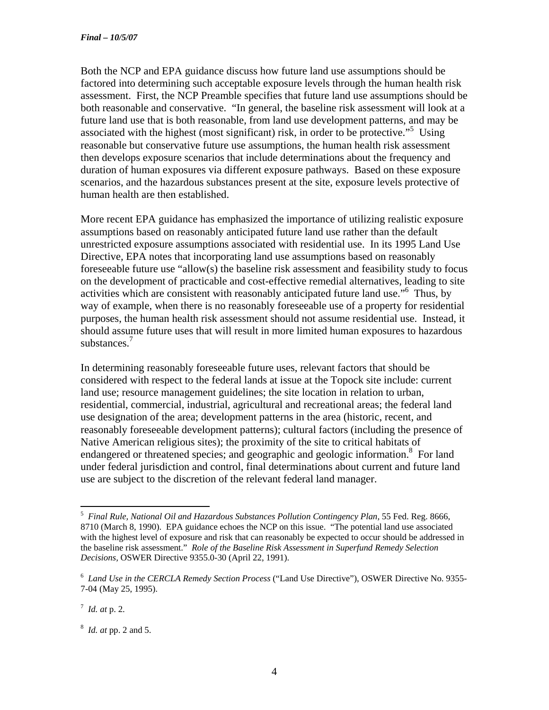Both the NCP and EPA guidance discuss how future land use assumptions should be factored into determining such acceptable exposure levels through the human health risk assessment. First, the NCP Preamble specifies that future land use assumptions should be both reasonable and conservative. "In general, the baseline risk assessment will look at a future land use that is both reasonable, from land use development patterns, and may be associated with the highest (most significant) risk, in order to be protective."<sup>5</sup> Using reasonable but conservative future use assumptions, the human health risk assessment then develops exposure scenarios that include determinations about the frequency and duration of human exposures via different exposure pathways. Based on these exposure scenarios, and the hazardous substances present at the site, exposure levels protective of human health are then established.

More recent EPA guidance has emphasized the importance of utilizing realistic exposure assumptions based on reasonably anticipated future land use rather than the default unrestricted exposure assumptions associated with residential use. In its 1995 Land Use Directive*,* EPA notes that incorporating land use assumptions based on reasonably foreseeable future use "allow(s) the baseline risk assessment and feasibility study to focus on the development of practicable and cost-effective remedial alternatives, leading to site activities which are consistent with reasonably anticipated future land use."<sup>6</sup> Thus, by way of example, when there is no reasonably foreseeable use of a property for residential purposes, the human health risk assessment should not assume residential use. Instead, it should assume future uses that will result in more limited human exposures to hazardous substances.<sup>7</sup>

In determining reasonably foreseeable future uses, relevant factors that should be considered with respect to the federal lands at issue at the Topock site include: current land use; resource management guidelines; the site location in relation to urban, residential, commercial, industrial, agricultural and recreational areas; the federal land use designation of the area; development patterns in the area (historic, recent, and reasonably foreseeable development patterns); cultural factors (including the presence of Native American religious sites); the proximity of the site to critical habitats of endangered or threatened species; and geographic and geologic information.<sup>8</sup> For land under federal jurisdiction and control, final determinations about current and future land use are subject to the discretion of the relevant federal land manager.

<sup>&</sup>lt;sup>5</sup> Final Rule, National Oil and Hazardous Substances Pollution Contingency Plan, 55 Fed. Reg. 8666, 8710 (March 8, 1990). EPA guidance echoes the NCP on this issue. "The potential land use associated with the highest level of exposure and risk that can reasonably be expected to occur should be addressed in the baseline risk assessment." *Role of the Baseline Risk Assessment in Superfund Remedy Selection Decisions,* OSWER Directive 9355.0-30 (April 22, 1991).

<sup>6</sup> *Land Use in the CERCLA Remedy Section Process* ("Land Use Directive"), OSWER Directive No. 9355- 7-04 (May 25, 1995).

<sup>7</sup> *Id. at* p. 2.

<sup>8</sup> *Id. at* pp. 2 and 5.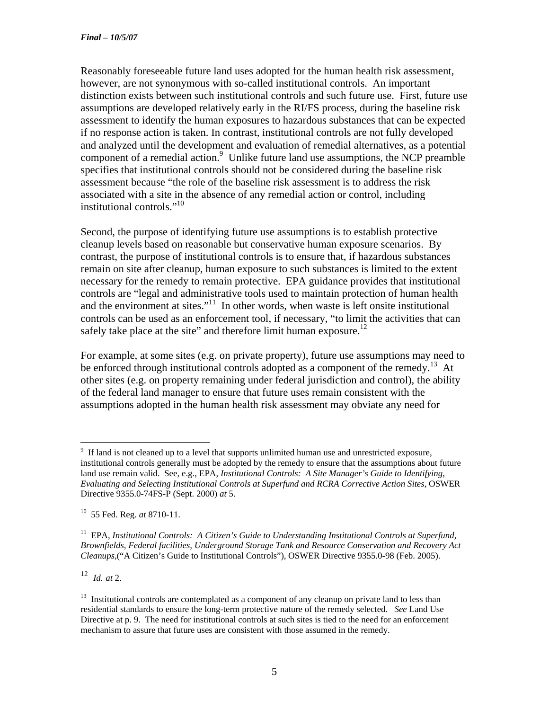Reasonably foreseeable future land uses adopted for the human health risk assessment, however, are not synonymous with so-called institutional controls. An important distinction exists between such institutional controls and such future use. First, future use assumptions are developed relatively early in the RI/FS process, during the baseline risk assessment to identify the human exposures to hazardous substances that can be expected if no response action is taken. In contrast, institutional controls are not fully developed and analyzed until the development and evaluation of remedial alternatives, as a potential component of a remedial action.<sup>9</sup> Unlike future land use assumptions, the NCP preamble specifies that institutional controls should not be considered during the baseline risk assessment because "the role of the baseline risk assessment is to address the risk associated with a site in the absence of any remedial action or control, including institutional controls."10

Second, the purpose of identifying future use assumptions is to establish protective cleanup levels based on reasonable but conservative human exposure scenarios. By contrast, the purpose of institutional controls is to ensure that, if hazardous substances remain on site after cleanup, human exposure to such substances is limited to the extent necessary for the remedy to remain protective. EPA guidance provides that institutional controls are "legal and administrative tools used to maintain protection of human health and the environment at sites."<sup>11</sup> In other words, when waste is left onsite institutional controls can be used as an enforcement tool, if necessary, "to limit the activities that can safely take place at the site" and therefore limit human exposure.<sup>12</sup>

For example, at some sites (e.g. on private property), future use assumptions may need to be enforced through institutional controls adopted as a component of the remedy.<sup>13</sup> At other sites (e.g. on property remaining under federal jurisdiction and control), the ability of the federal land manager to ensure that future uses remain consistent with the assumptions adopted in the human health risk assessment may obviate any need for

12 *Id. at* 2.

 $9 \text{ If land is not cleaned up to a level that supports unlimited human use and unrestricted exposure, }$ institutional controls generally must be adopted by the remedy to ensure that the assumptions about future land use remain valid. See, e.g., EPA, *Institutional Controls: A Site Manager's Guide to Identifying, Evaluating and Selecting Institutional Controls at Superfund and RCRA Corrective Action Sites*, OSWER Directive 9355.0-74FS-P (Sept. 2000) *at* 5.

<sup>10 55</sup> Fed. Reg. *at* 8710-11.

<sup>&</sup>lt;sup>11</sup> EPA, *Institutional Controls: A Citizen's Guide to Understanding Institutional Controls at Superfund, Brownfields, Federal facilities, Underground Storage Tank and Resource Conservation and Recovery Act Cleanups,*("A Citizen's Guide to Institutional Controls"), OSWER Directive 9355.0-98 (Feb. 2005).

<sup>&</sup>lt;sup>13</sup> Institutional controls are contemplated as a component of any cleanup on private land to less than residential standards to ensure the long-term protective nature of the remedy selected. *See* Land Use Directive at p. 9. The need for institutional controls at such sites is tied to the need for an enforcement mechanism to assure that future uses are consistent with those assumed in the remedy.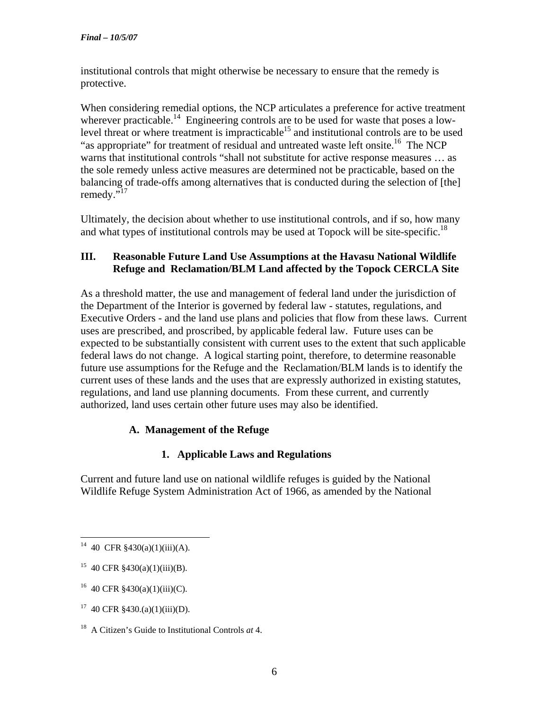institutional controls that might otherwise be necessary to ensure that the remedy is protective.

When considering remedial options, the NCP articulates a preference for active treatment wherever practicable.<sup>14</sup> Engineering controls are to be used for waste that poses a lowlevel threat or where treatment is impracticable<sup>15</sup> and institutional controls are to be used "as appropriate" for treatment of residual and untreated waste left onsite.<sup>16</sup> The NCP warns that institutional controls "shall not substitute for active response measures … as the sole remedy unless active measures are determined not be practicable, based on the balancing of trade-offs among alternatives that is conducted during the selection of [the] remedy."<sup>17</sup>

Ultimately, the decision about whether to use institutional controls, and if so, how many and what types of institutional controls may be used at Topock will be site-specific.<sup>18</sup>

#### **III. Reasonable Future Land Use Assumptions at the Havasu National Wildlife Refuge and Reclamation/BLM Land affected by the Topock CERCLA Site**

As a threshold matter, the use and management of federal land under the jurisdiction of the Department of the Interior is governed by federal law - statutes, regulations, and Executive Orders - and the land use plans and policies that flow from these laws. Current uses are prescribed, and proscribed, by applicable federal law. Future uses can be expected to be substantially consistent with current uses to the extent that such applicable federal laws do not change. A logical starting point, therefore, to determine reasonable future use assumptions for the Refuge and the Reclamation/BLM lands is to identify the current uses of these lands and the uses that are expressly authorized in existing statutes, regulations, and land use planning documents. From these current, and currently authorized, land uses certain other future uses may also be identified.

# **A. Management of the Refuge**

# **1. Applicable Laws and Regulations**

Current and future land use on national wildlife refuges is guided by the National Wildlife Refuge System Administration Act of 1966, as amended by the National

<sup>&</sup>lt;sup>14</sup> 40 CFR §430(a)(1)(iii)(A).

<sup>&</sup>lt;sup>15</sup> 40 CFR  $$430(a)(1)(iii)(B)$ .

 $16$  40 CFR §430(a)(1)(iii)(C).

 $17$  40 CFR §430.(a)(1)(iii)(D).

<sup>18</sup> A Citizen's Guide to Institutional Controls *at* 4.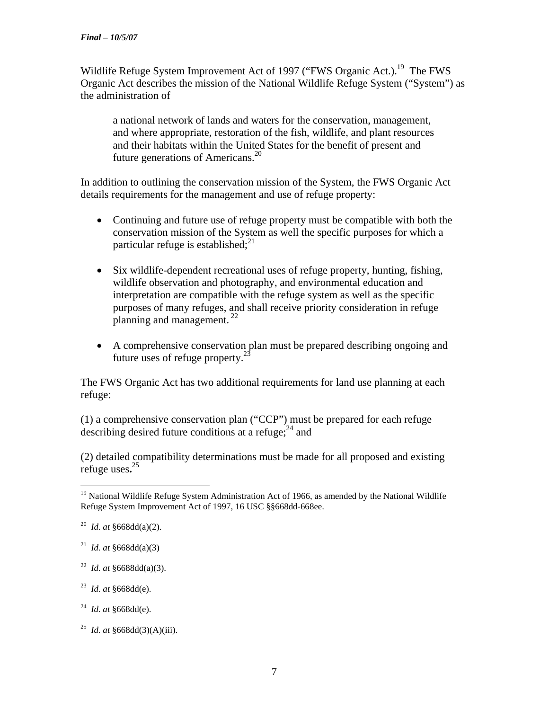Wildlife Refuge System Improvement Act of 1997 ("FWS Organic Act.).<sup>19</sup> The FWS Organic Act describes the mission of the National Wildlife Refuge System ("System") as the administration of

a national network of lands and waters for the conservation, management, and where appropriate, restoration of the fish, wildlife, and plant resources and their habitats within the United States for the benefit of present and future generations of Americans. $20$ 

In addition to outlining the conservation mission of the System, the FWS Organic Act details requirements for the management and use of refuge property:

- Continuing and future use of refuge property must be compatible with both the conservation mission of the System as well the specific purposes for which a particular refuge is established; $^{21}$
- Six wildlife-dependent recreational uses of refuge property, hunting, fishing, wildlife observation and photography, and environmental education and interpretation are compatible with the refuge system as well as the specific purposes of many refuges, and shall receive priority consideration in refuge planning and management.  $^{22}$
- A comprehensive conservation plan must be prepared describing ongoing and future uses of refuge property. $^{23}$

The FWS Organic Act has two additional requirements for land use planning at each refuge:

(1) a comprehensive conservation plan ("CCP") must be prepared for each refuge describing desired future conditions at a refuge:  $24$  and

(2) detailed compatibility determinations must be made for all proposed and existing refuge uses**.** 25

- <sup>21</sup> *Id. at*  $§668d(d(a)(3))$
- 22 *Id. at* §6688dd(a)(3).
- 23 *Id. at* §668dd(e).
- 24 *Id. at* §668dd(e).
- 25 *Id. at* §668dd(3)(A)(iii).

<sup>1</sup> <sup>19</sup> National Wildlife Refuge System Administration Act of 1966, as amended by the National Wildlife Refuge System Improvement Act of 1997, 16 USC §§668dd-668ee.

<sup>20</sup> *Id. at* §668dd(a)(2).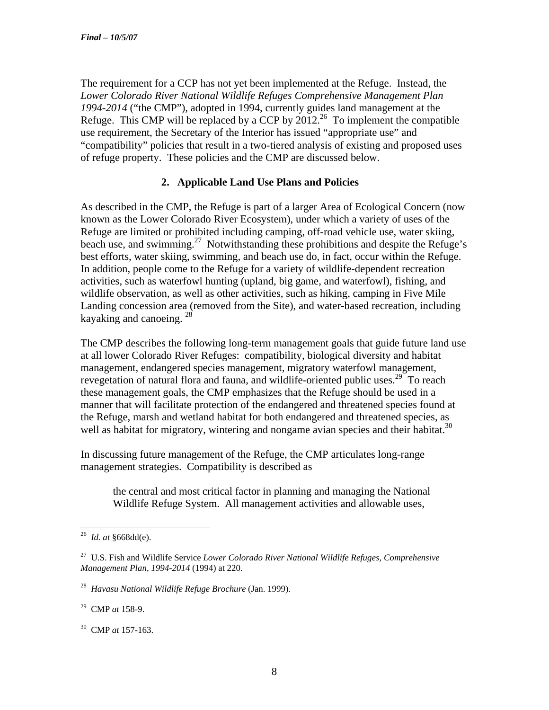The requirement for a CCP has not yet been implemented at the Refuge. Instead, the *Lower Colorado River National Wildlife Refuges Comprehensive Management Plan 1994-2014* ("the CMP"), adopted in 1994, currently guides land management at the Refuge. This CMP will be replaced by a CCP by  $2012<sup>26</sup>$  To implement the compatible use requirement, the Secretary of the Interior has issued "appropriate use" and "compatibility" policies that result in a two-tiered analysis of existing and proposed uses of refuge property. These policies and the CMP are discussed below.

# **2. Applicable Land Use Plans and Policies**

As described in the CMP, the Refuge is part of a larger Area of Ecological Concern (now known as the Lower Colorado River Ecosystem), under which a variety of uses of the Refuge are limited or prohibited including camping, off-road vehicle use, water skiing, beach use, and swimming.<sup>27</sup> Notwithstanding these prohibitions and despite the Refuge's best efforts, water skiing, swimming, and beach use do, in fact, occur within the Refuge. In addition, people come to the Refuge for a variety of wildlife-dependent recreation activities, such as waterfowl hunting (upland, big game, and waterfowl), fishing, and wildlife observation, as well as other activities, such as hiking, camping in Five Mile Landing concession area (removed from the Site), and water-based recreation, including kayaking and canoeing. <sup>28</sup>

The CMP describes the following long-term management goals that guide future land use at all lower Colorado River Refuges: compatibility, biological diversity and habitat management, endangered species management, migratory waterfowl management, revegetation of natural flora and fauna, and wildlife-oriented public uses.29To reach these management goals, the CMP emphasizes that the Refuge should be used in a manner that will facilitate protection of the endangered and threatened species found at the Refuge, marsh and wetland habitat for both endangered and threatened species, as well as habitat for migratory, wintering and nongame avian species and their habitat.<sup>30</sup>

In discussing future management of the Refuge, the CMP articulates long-range management strategies. Compatibility is described as

the central and most critical factor in planning and managing the National Wildlife Refuge System. All management activities and allowable uses,

1

<sup>26</sup> *Id. at* §668dd(e).

<sup>27</sup> U.S. Fish and Wildlife Service *Lower Colorado River National Wildlife Refuges, Comprehensive Management Plan, 1994-2014* (1994) at 220.

<sup>28</sup> *Havasu National Wildlife Refuge Brochure* (Jan. 1999).

<sup>29</sup> CMP *at* 158-9.

<sup>30</sup> CMP *at* 157-163.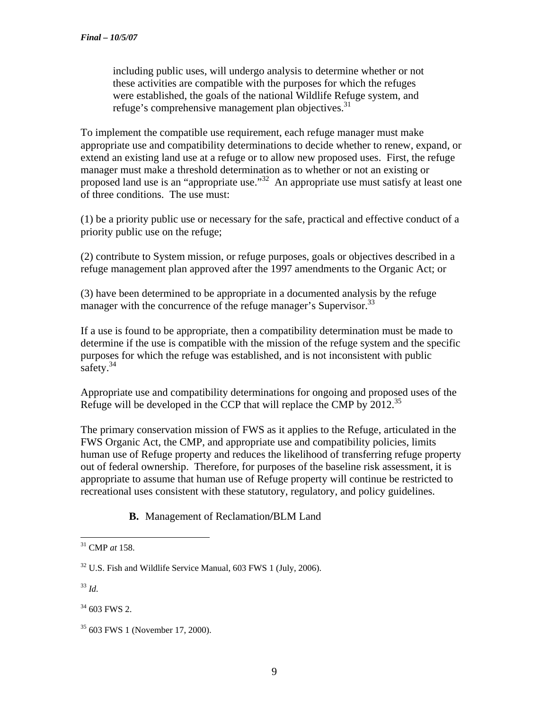including public uses, will undergo analysis to determine whether or not these activities are compatible with the purposes for which the refuges were established, the goals of the national Wildlife Refuge system, and refuge's comprehensive management plan objectives.<sup>31</sup>

To implement the compatible use requirement, each refuge manager must make appropriate use and compatibility determinations to decide whether to renew, expand, or extend an existing land use at a refuge or to allow new proposed uses. First, the refuge manager must make a threshold determination as to whether or not an existing or proposed land use is an "appropriate use."32 An appropriate use must satisfy at least one of three conditions. The use must:

(1) be a priority public use or necessary for the safe, practical and effective conduct of a priority public use on the refuge;

(2) contribute to System mission, or refuge purposes, goals or objectives described in a refuge management plan approved after the 1997 amendments to the Organic Act; or

(3) have been determined to be appropriate in a documented analysis by the refuge manager with the concurrence of the refuge manager's Supervisor.<sup>33</sup>

If a use is found to be appropriate, then a compatibility determination must be made to determine if the use is compatible with the mission of the refuge system and the specific purposes for which the refuge was established, and is not inconsistent with public safety. $34$ 

Appropriate use and compatibility determinations for ongoing and proposed uses of the Refuge will be developed in the CCP that will replace the CMP by 2012.35

The primary conservation mission of FWS as it applies to the Refuge, articulated in the FWS Organic Act, the CMP, and appropriate use and compatibility policies, limits human use of Refuge property and reduces the likelihood of transferring refuge property out of federal ownership. Therefore, for purposes of the baseline risk assessment, it is appropriate to assume that human use of Refuge property will continue be restricted to recreational uses consistent with these statutory, regulatory, and policy guidelines.

# **B.** Management of Reclamation**/**BLM Land

<sup>33</sup> *Id.* 

<sup>1</sup> 31 CMP *at* 158.

 $32$  U.S. Fish and Wildlife Service Manual, 603 FWS 1 (July, 2006).

 $34$  603 FWS 2.

<sup>35 603</sup> FWS 1 (November 17, 2000).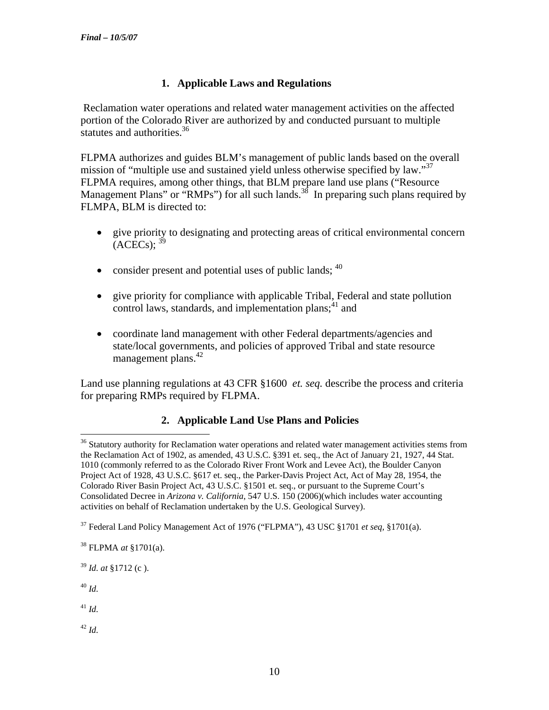# **1. Applicable Laws and Regulations**

 Reclamation water operations and related water management activities on the affected portion of the Colorado River are authorized by and conducted pursuant to multiple statutes and authorities.<sup>36</sup>

FLPMA authorizes and guides BLM's management of public lands based on the overall mission of "multiple use and sustained yield unless otherwise specified by law."<sup>37</sup> FLPMA requires, among other things, that BLM prepare land use plans ("Resource Management Plans" or "RMPs") for all such lands.<sup>38</sup> In preparing such plans required by FLMPA, BLM is directed to:

- give priority to designating and protecting areas of critical environmental concern  $(ACECs)$ ;  $39$
- consider present and potential uses of public lands;  $40$
- give priority for compliance with applicable Tribal, Federal and state pollution control laws, standards, and implementation plans;  $41$  and
- coordinate land management with other Federal departments/agencies and state/local governments, and policies of approved Tribal and state resource management plans. $42$

Land use planning regulations at 43 CFR §1600 *et. seq.* describe the process and criteria for preparing RMPs required by FLPMA.

# **2. Applicable Land Use Plans and Policies**

38 FLPMA *at* §1701(a).

<sup>39</sup> *Id. at* §1712 (c ).

<sup>40</sup> *Id.* 

 $\overline{a}$ 

 $^{41}$  *Id.* 

<sup>42</sup> *Id.*

<sup>&</sup>lt;sup>36</sup> Statutory authority for Reclamation water operations and related water management activities stems from the Reclamation Act of 1902, as amended, 43 U.S.C. §391 et. seq., the Act of January 21, 1927, 44 Stat. 1010 (commonly referred to as the Colorado River Front Work and Levee Act), the Boulder Canyon Project Act of 1928, 43 U.S.C. §617 et. seq., the Parker-Davis Project Act, Act of May 28, 1954, the Colorado River Basin Project Act, 43 U.S.C. §1501 et. seq., or pursuant to the Supreme Court's Consolidated Decree in *Arizona v. California*, 547 U.S. 150 (2006)(which includes water accounting activities on behalf of Reclamation undertaken by the U.S. Geological Survey).

<sup>37</sup> Federal Land Policy Management Act of 1976 ("FLPMA"), 43 USC §1701 *et seq,* §1701(a).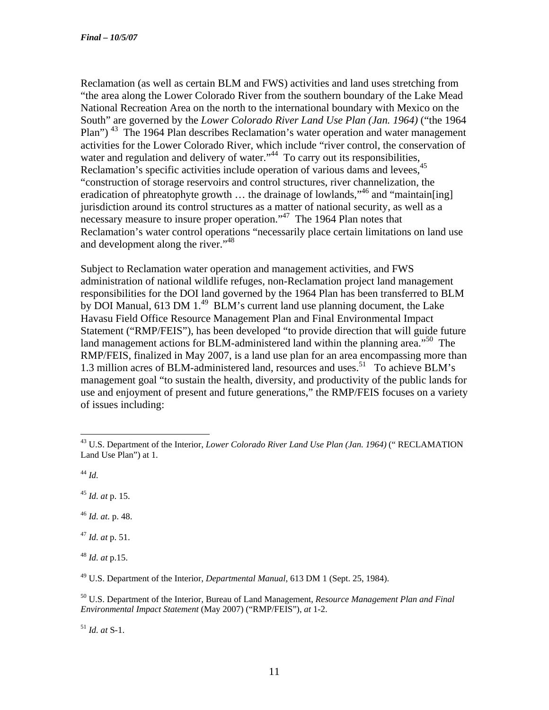Reclamation (as well as certain BLM and FWS) activities and land uses stretching from "the area along the Lower Colorado River from the southern boundary of the Lake Mead National Recreation Area on the north to the international boundary with Mexico on the South" are governed by the *Lower Colorado River Land Use Plan (Jan. 1964)* ("the 1964 Plan")<sup>43</sup> The 1964 Plan describes Reclamation's water operation and water management activities for the Lower Colorado River, which include "river control, the conservation of activities for the Lower Colorado Krych, which carries the responsibilities,<br>water and regulation and delivery of water.<sup>344</sup> To carry out its responsibilities, Reclamation's specific activities include operation of various dams and levees, "construction of storage reservoirs and control structures, river channelization, the eradication of phreatophyte growth ... the drainage of lowlands,"<sup>46</sup> and "maintain[ing] jurisdiction around its control structures as a matter of national security, as well as a necessary measure to insure proper operation."<sup>47</sup> The 1964 Plan notes that Reclamation's water control operations "necessarily place certain limitations on land use and development along the river."<sup>48</sup>

Subject to Reclamation water operation and management activities, and FWS administration of national wildlife refuges, non-Reclamation project land management responsibilities for the DOI land governed by the 1964 Plan has been transferred to BLM by DOI Manual, 613 DM  $1^{49}$  BLM's current land use planning document, the Lake Havasu Field Office Resource Management Plan and Final Environmental Impact Statement ("RMP/FEIS"), has been developed "to provide direction that will guide future land management actions for BLM-administered land within the planning area."<sup>50</sup> The RMP/FEIS, finalized in May 2007, is a land use plan for an area encompassing more than 1.3 million acres of BLM-administered land, resources and uses.<sup>51</sup> To achieve BLM's management goal "to sustain the health, diversity, and productivity of the public lands for use and enjoyment of present and future generations," the RMP/FEIS focuses on a variety of issues including:

 $\overline{a}$ 

<sup>45</sup> *Id. at* p. 15.

<sup>46</sup> *Id. at.* p. 48.

<sup>47</sup> *Id. at* p. 51.

<sup>48</sup> *Id. at* p.15.

49 U.S. Department of the Interior, *Departmental Manual*, 613 DM 1 (Sept. 25, 1984).

50 U.S. Department of the Interior, Bureau of Land Management, *Resource Management Plan and Final Environmental Impact Statement* (May 2007) ("RMP/FEIS"), *at* 1-2.

<sup>51</sup> *Id. at* S-1.

<sup>43</sup> U.S. Department of the Interior, *Lower Colorado River Land Use Plan (Jan. 1964)* (" RECLAMATION Land Use Plan") at 1.

 $^{44}$  *Id.*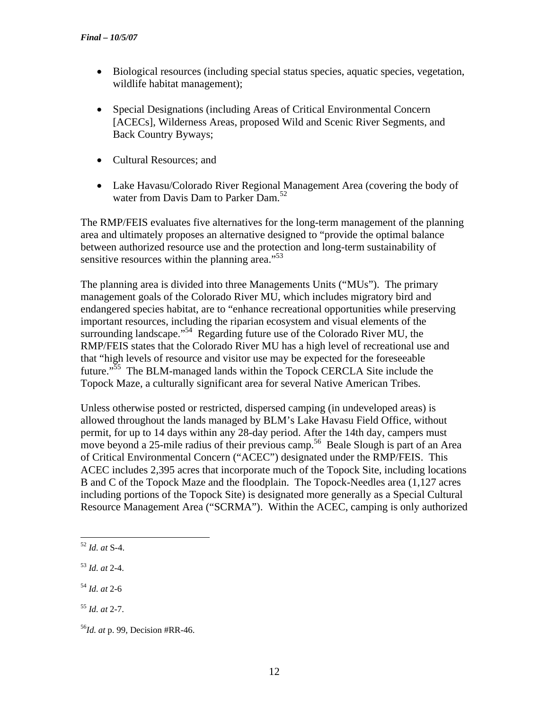- Biological resources (including special status species, aquatic species, vegetation, wildlife habitat management);
- Special Designations (including Areas of Critical Environmental Concern [ACECs], Wilderness Areas, proposed Wild and Scenic River Segments, and Back Country Byways;
- Cultural Resources; and
- Lake Havasu/Colorado River Regional Management Area (covering the body of water from Davis Dam to Parker Dam.<sup>52</sup>

The RMP/FEIS evaluates five alternatives for the long-term management of the planning area and ultimately proposes an alternative designed to "provide the optimal balance between authorized resource use and the protection and long-term sustainability of sensitive resources within the planning area. $^{553}$ 

The planning area is divided into three Managements Units ("MUs"). The primary management goals of the Colorado River MU, which includes migratory bird and endangered species habitat, are to "enhance recreational opportunities while preserving important resources, including the riparian ecosystem and visual elements of the surrounding landscape."<sup>54</sup> Regarding future use of the Colorado River MU, the RMP/FEIS states that the Colorado River MU has a high level of recreational use and that "high levels of resource and visitor use may be expected for the foreseeable future."<sup>55</sup> The BLM-managed lands within the Topock CERCLA Site include the Topock Maze, a culturally significant area for several Native American Tribes.

Unless otherwise posted or restricted, dispersed camping (in undeveloped areas) is allowed throughout the lands managed by BLM's Lake Havasu Field Office, without permit, for up to 14 days within any 28-day period. After the 14th day, campers must move beyond a 25-mile radius of their previous camp.<sup>56</sup> Beale Slough is part of an Area of Critical Environmental Concern ("ACEC") designated under the RMP/FEIS. This ACEC includes 2,395 acres that incorporate much of the Topock Site, including locations B and C of the Topock Maze and the floodplain. The Topock-Needles area (1,127 acres including portions of the Topock Site) is designated more generally as a Special Cultural Resource Management Area ("SCRMA"). Within the ACEC, camping is only authorized

 $\overline{a}$ <sup>52</sup> *Id. at* S-4.

<sup>53</sup> *Id. at* 2-4.

<sup>54</sup> *Id. at* 2-6

<sup>55</sup> *Id. at* 2-7.

<sup>56</sup>*Id. at* p. 99, Decision #RR-46.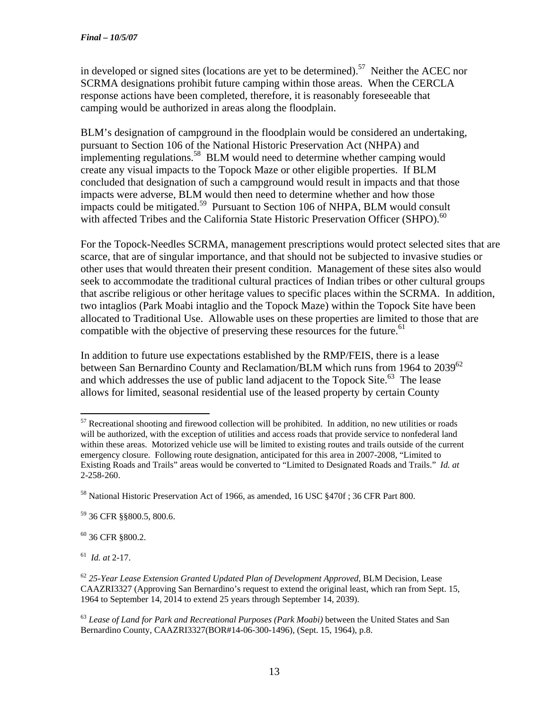in developed or signed sites (locations are yet to be determined).<sup>57</sup> Neither the ACEC nor SCRMA designations prohibit future camping within those areas. When the CERCLA response actions have been completed, therefore, it is reasonably foreseeable that camping would be authorized in areas along the floodplain.

BLM's designation of campground in the floodplain would be considered an undertaking, pursuant to Section 106 of the National Historic Preservation Act (NHPA) and implementing regulations.<sup>58</sup> BLM would need to determine whether camping would create any visual impacts to the Topock Maze or other eligible properties. If BLM concluded that designation of such a campground would result in impacts and that those impacts were adverse, BLM would then need to determine whether and how those impacts could be mitigated.<sup>59</sup> Pursuant to Section 106 of NHPA, BLM would consult with affected Tribes and the California State Historic Preservation Officer (SHPO). $^{60}$ 

For the Topock-Needles SCRMA, management prescriptions would protect selected sites that are scarce, that are of singular importance, and that should not be subjected to invasive studies or other uses that would threaten their present condition. Management of these sites also would seek to accommodate the traditional cultural practices of Indian tribes or other cultural groups that ascribe religious or other heritage values to specific places within the SCRMA. In addition, two intaglios (Park Moabi intaglio and the Topock Maze) within the Topock Site have been allocated to Traditional Use. Allowable uses on these properties are limited to those that are compatible with the objective of preserving these resources for the future.<sup>61</sup>

In addition to future use expectations established by the RMP/FEIS, there is a lease between San Bernardino County and Reclamation/BLM which runs from 1964 to 2039<sup>62</sup> and which addresses the use of public land adjacent to the Topock Site.63The lease allows for limited, seasonal residential use of the leased property by certain County

 $60$  36 CFR §800.2.

61 *Id. at* 2-17.

 $\overline{a}$ <sup>57</sup> Recreational shooting and firewood collection will be prohibited. In addition, no new utilities or roads will be authorized, with the exception of utilities and access roads that provide service to nonfederal land within these areas. Motorized vehicle use will be limited to existing routes and trails outside of the current emergency closure. Following route designation, anticipated for this area in 2007-2008, "Limited to Existing Roads and Trails" areas would be converted to "Limited to Designated Roads and Trails." *Id. at* 2-258-260.

<sup>&</sup>lt;sup>58</sup> National Historic Preservation Act of 1966, as amended, 16 USC §470f; 36 CFR Part 800.

<sup>59 36</sup> CFR §§800.5, 800.6.

<sup>62</sup> *25-Year Lease Extension Granted Updated Plan of Development Approved*, BLM Decision, Lease CAAZRI3327 (Approving San Bernardino's request to extend the original least, which ran from Sept. 15, 1964 to September 14, 2014 to extend 25 years through September 14, 2039).

<sup>63</sup> *Lease of Land for Park and Recreational Purposes (Park Moabi)* between the United States and San Bernardino County, CAAZRI3327(BOR#14-06-300-1496), (Sept. 15, 1964), p.8.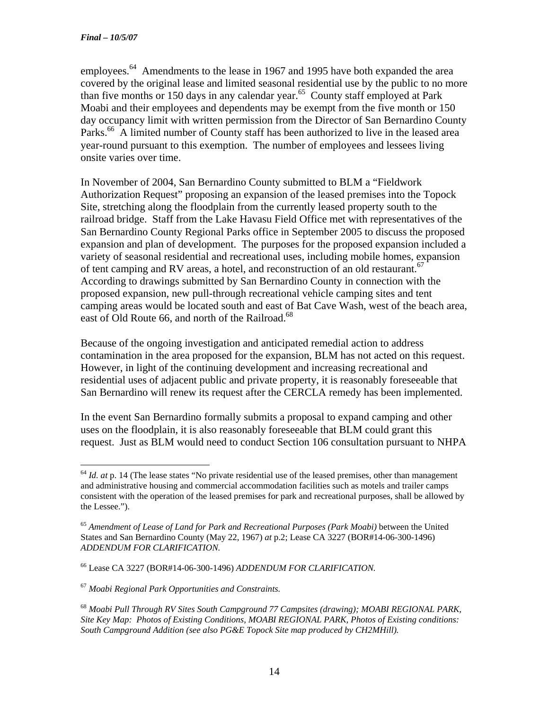employees.<sup>64</sup> Amendments to the lease in 1967 and 1995 have both expanded the area covered by the original lease and limited seasonal residential use by the public to no more than five months or 150 days in any calendar year.65County staff employed at Park Moabi and their employees and dependents may be exempt from the five month or 150 day occupancy limit with written permission from the Director of San Bernardino County Parks.<sup>66</sup> A limited number of County staff has been authorized to live in the leased area year-round pursuant to this exemption. The number of employees and lessees living onsite varies over time.

In November of 2004, San Bernardino County submitted to BLM a "Fieldwork Authorization Request" proposing an expansion of the leased premises into the Topock Site, stretching along the floodplain from the currently leased property south to the railroad bridge. Staff from the Lake Havasu Field Office met with representatives of the San Bernardino County Regional Parks office in September 2005 to discuss the proposed expansion and plan of development. The purposes for the proposed expansion included a variety of seasonal residential and recreational uses, including mobile homes, expansion of tent camping and RV areas, a hotel, and reconstruction of an old restaurant.<sup>67</sup> According to drawings submitted by San Bernardino County in connection with the proposed expansion, new pull-through recreational vehicle camping sites and tent camping areas would be located south and east of Bat Cave Wash, west of the beach area, east of Old Route 66, and north of the Railroad.<sup>68</sup>

Because of the ongoing investigation and anticipated remedial action to address contamination in the area proposed for the expansion, BLM has not acted on this request. However, in light of the continuing development and increasing recreational and residential uses of adjacent public and private property, it is reasonably foreseeable that San Bernardino will renew its request after the CERCLA remedy has been implemented.

In the event San Bernardino formally submits a proposal to expand camping and other uses on the floodplain, it is also reasonably foreseeable that BLM could grant this request. Just as BLM would need to conduct Section 106 consultation pursuant to NHPA

 $\overline{a}$ <sup>64</sup> *Id. at* p. 14 (The lease states "No private residential use of the leased premises, other than management and administrative housing and commercial accommodation facilities such as motels and trailer camps consistent with the operation of the leased premises for park and recreational purposes, shall be allowed by the Lessee.").

<sup>65</sup> *Amendment of Lease of Land for Park and Recreational Purposes (Park Moabi)* between the United States and San Bernardino County (May 22, 1967) *at* p.2; Lease CA 3227 (BOR#14-06-300-1496) *ADDENDUM FOR CLARIFICATION.*

<sup>66</sup> Lease CA 3227 (BOR#14-06-300-1496) *ADDENDUM FOR CLARIFICATION.* 

<sup>67</sup> *Moabi Regional Park Opportunities and Constraints.* 

<sup>68</sup> *Moabi Pull Through RV Sites South Campground 77 Campsites (drawing); MOABI REGIONAL PARK, Site Key Map: Photos of Existing Conditions, MOABI REGIONAL PARK, Photos of Existing conditions: South Campground Addition (see also PG&E Topock Site map produced by CH2MHill).*